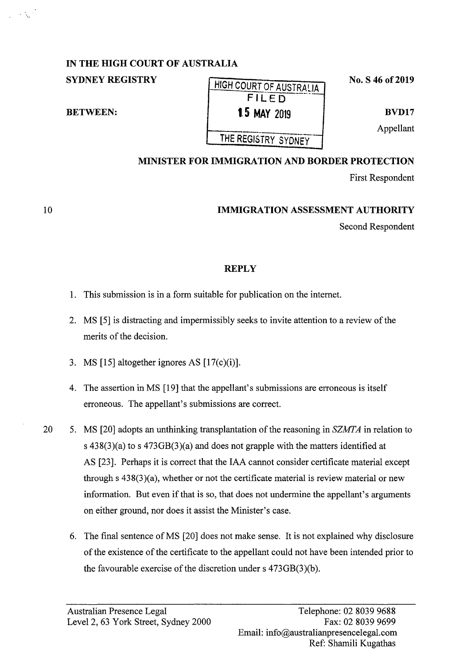## **IN THE HIGH COURT OF AUSTRALIA**

# **SYDNEY REGISTRY** HIGH COURT OF AUSTRALIA **FILED BETWEEN: 1.5 MAY** 2019 THE REGISTRY SYDNEY

**No. S 46 of 2019** 

**BVD17** 

Appellant

### **MINISTER FOR IMMIGRATION AND BORDER PROTECTION**

First Respondent

### **IMMIGRATION ASSESSMENT AUTHORITY**

Second Respondent

### **REPLY**

- 1. This submission is in a form suitable for publication on the internet.
- 2. MS [5] is distracting and impermissibly seeks to invite attention to a review of the merits of the decision.
- 3. MS [15] altogether ignores AS  $[17(c)(i)]$ .
- 4. The assertion in MS [19] that the appellant's submissions are erroneous is itself erroneous. The appellant's submissions are correct.
- 20 5. MS [20] adopts an unthinking transplantation of the reasoning in *SZMTA* in relation to s 438(3)(a) to s 473GB(3)(a) and does not grapple with the matters identified at AS [23]. Perhaps it is correct that the IAA cannot consider certificate material except through s 438(3)(a), whether or not the certificate material is review material or new information. But even if that is so, that does not undermine the appellant's arguments on either ground, nor does it assist the Minister's case.
	- 6. The final sentence of MS [20] does not make sense. It is not explained why disclosure of the existence of the certificate to the appellant could not have been intended prior to the favourable exercise of the discretion under s 473GB(3)(b).

10

 $\sim \Delta_{\rm H}$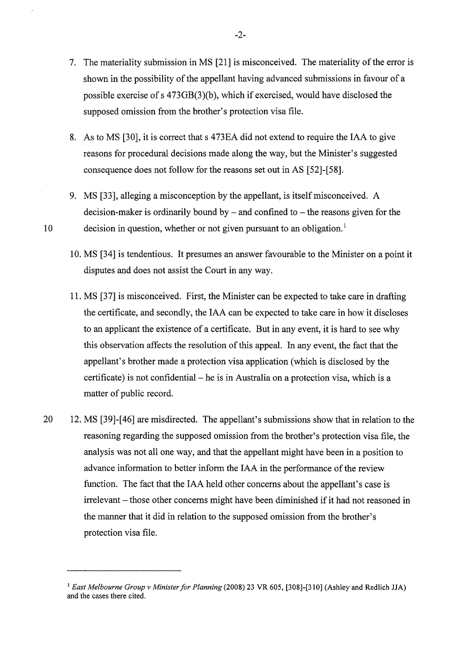- 7. The materiality submission in MS [21] is misconceived. The materiality of the error is shown in the possibility of the appellant having advanced submissions **in** favour of a possible exercise of s 473GB(3)(b), which if exercised, would have disclosed the supposed omission from the brother's protection visa file.
- 8. As to MS [30], it is correct that s 473EA did not extend to require the IAA to give reasons for procedural decisions made along the way, but the Minister's suggested consequence does not follow for the reasons set out in AS [52]-[58].
- 9. MS [33], alleging a misconception by the appellant, is itself misconceived. A decision-maker is ordinarily bound by  $-$  and confined to  $-$  the reasons given for the 10 decision in question, whether or not given pursuant to an obligation.<sup>1</sup>
	- 10. MS [34] is tendentious. It presumes an answer favourable to the Minister on a point it disputes and does not assist the Court in any way.
	- 11. MS [37] is misconceived. First, the Minister can be expected to take care in drafting the certificate, and secondly, the IAA can be expected to take care in how it discloses to an applicant the existence of a certificate. But in any event, it is hard to see why this observation affects the resolution of this appeal. In any event, the fact that the appellant's brother made a protection visa application (which is disclosed by the certificate) is not confidential – he is in Australia on a protection visa, which is a matter of public record.
- 20 12. MS [39]-[46] are misdirected. The appellant's submissions show that in relation to the reasoning regarding the supposed omission from the brother's protection visa file, the analysis was not all one way, and that the appellant might have been in a position to advance information to better inform the IAA in the performance of the review function. The fact that the IAA held other concerns about the appellant's case is irrelevant – those other concerns might have been diminished if it had not reasoned in the manner that it did in relation to the supposed omission from the brother's protection visa file.

-2-

<sup>&</sup>lt;sup>1</sup> East Melbourne Group v Minister for Planning (2008) 23 VR 605, [308]-[310] (Ashley and Redlich JJA) and the cases there cited.